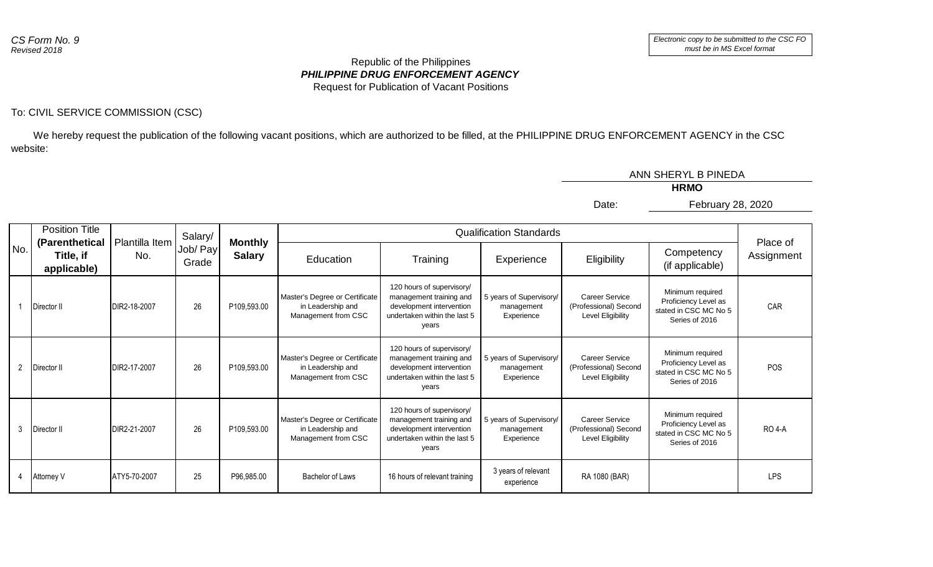## *PHILIPPINE DRUG ENFORCEMENT AGENCY* Republic of the Philippines Request for Publication of Vacant Positions

## To: CIVIL SERVICE COMMISSION (CSC)

 We hereby request the publication of the following vacant positions, which are authorized to be filled, at the PHILIPPINE DRUG ENFORCEMENT AGENCY in the CSC website:

|     |                               |                                                           |              |         |                   |                                                                            |                                                                                                                           |                                                     | ANN SHERYL B PINEDA                                                 |                                                                                     |                |               |                                |          |            |             |                               |                        |
|-----|-------------------------------|-----------------------------------------------------------|--------------|---------|-------------------|----------------------------------------------------------------------------|---------------------------------------------------------------------------------------------------------------------------|-----------------------------------------------------|---------------------------------------------------------------------|-------------------------------------------------------------------------------------|----------------|---------------|--------------------------------|----------|------------|-------------|-------------------------------|------------------------|
|     |                               |                                                           |              |         |                   |                                                                            |                                                                                                                           |                                                     |                                                                     | <b>HRMO</b>                                                                         |                |               |                                |          |            |             |                               |                        |
|     |                               |                                                           |              |         |                   |                                                                            |                                                                                                                           |                                                     | Date:                                                               | February 28, 2020                                                                   |                |               |                                |          |            |             |                               |                        |
|     |                               | <b>Position Title</b><br>Plantilla Item<br>(Parenthetical |              | Salary/ | Job/ Pay<br>Grade |                                                                            |                                                                                                                           |                                                     |                                                                     |                                                                                     | <b>Monthly</b> |               | <b>Qualification Standards</b> |          |            |             |                               |                        |
| No. |                               | Title, if<br>applicable)                                  | No.          |         |                   |                                                                            |                                                                                                                           |                                                     |                                                                     |                                                                                     |                | <b>Salary</b> | Education                      | Training | Experience | Eligibility | Competency<br>(if applicable) | Place of<br>Assignment |
|     | Director II                   |                                                           | DIR2-18-2007 | 26      | P109,593.00       | Master's Degree or Certificate<br>in Leadership and<br>Management from CSC | 120 hours of supervisory/<br>management training and<br>development intervention<br>undertaken within the last 5<br>years | 5 years of Supervisory/<br>management<br>Experience | <b>Career Service</b><br>(Professional) Second<br>Level Eligibility | Minimum required<br>Proficiency Level as<br>stated in CSC MC No 5<br>Series of 2016 | CAR            |               |                                |          |            |             |                               |                        |
|     | $\overline{2}$<br>Director II |                                                           | DIR2-17-2007 | 26      | P109,593.00       | Master's Degree or Certificate<br>in Leadership and<br>Management from CSC | 120 hours of supervisory/<br>management training and<br>development intervention<br>undertaken within the last 5<br>years | 5 years of Supervisory/<br>management<br>Experience | <b>Career Service</b><br>(Professional) Second<br>Level Eligibility | Minimum required<br>Proficiency Level as<br>stated in CSC MC No 5<br>Series of 2016 | POS            |               |                                |          |            |             |                               |                        |
|     | $\mathbf{3}$<br>Director II   |                                                           | DIR2-21-2007 | 26      | P109,593.00       | Master's Degree or Certificate<br>in Leadership and<br>Management from CSC | 120 hours of supervisory/<br>management training and<br>development intervention<br>undertaken within the last 5<br>years | 5 years of Supervisory/<br>management<br>Experience | <b>Career Service</b><br>(Professional) Second<br>Level Eligibility | Minimum required<br>Proficiency Level as<br>stated in CSC MC No 5<br>Series of 2016 | <b>RO 4-A</b>  |               |                                |          |            |             |                               |                        |
|     | 4<br>Attorney V               |                                                           | ATY5-70-2007 | 25      | P96,985.00        | Bachelor of Laws                                                           | 16 hours of relevant training                                                                                             | 3 years of relevant<br>experience                   | RA 1080 (BAR)                                                       |                                                                                     | <b>LPS</b>     |               |                                |          |            |             |                               |                        |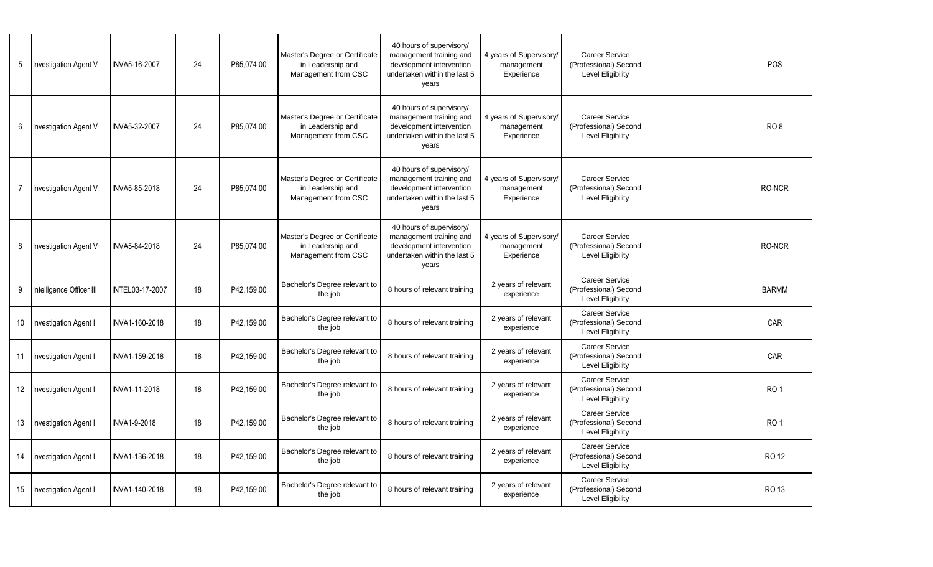| $5\phantom{.0}$ | Investigation Agent V        | INVA5-16-2007   | 24 | P85,074.00 | Master's Degree or Certificate<br>in Leadership and<br>Management from CSC | 40 hours of supervisory/<br>management training and<br>development intervention<br>undertaken within the last 5<br>years | 4 years of Supervisory/<br>management<br>Experience | <b>Career Service</b><br>(Professional) Second<br>Level Eligibility        | POS             |
|-----------------|------------------------------|-----------------|----|------------|----------------------------------------------------------------------------|--------------------------------------------------------------------------------------------------------------------------|-----------------------------------------------------|----------------------------------------------------------------------------|-----------------|
| 6               | Investigation Agent V        | INVA5-32-2007   | 24 | P85.074.00 | Master's Degree or Certificate<br>in Leadership and<br>Management from CSC | 40 hours of supervisory/<br>management training and<br>development intervention<br>undertaken within the last 5<br>years | 4 years of Supervisory/<br>management<br>Experience | <b>Career Service</b><br>(Professional) Second<br>Level Eligibility        | RO <sub>8</sub> |
| - 7             | <b>Investigation Agent V</b> | INVA5-85-2018   | 24 | P85,074.00 | Master's Degree or Certificate<br>in Leadership and<br>Management from CSC | 40 hours of supervisory/<br>management training and<br>development intervention<br>undertaken within the last 5<br>years | 4 years of Supervisory/<br>management<br>Experience | <b>Career Service</b><br>(Professional) Second<br>Level Eligibility        | RO-NCR          |
| 8               | <b>Investigation Agent V</b> | INVA5-84-2018   | 24 | P85,074.00 | Master's Degree or Certificate<br>in Leadership and<br>Management from CSC | 40 hours of supervisory/<br>management training and<br>development intervention<br>undertaken within the last 5<br>years | 4 years of Supervisory/<br>management<br>Experience | <b>Career Service</b><br>(Professional) Second<br><b>Level Eligibility</b> | RO-NCR          |
| 9               | Intelligence Officer III     | INTEL03-17-2007 | 18 | P42,159.00 | Bachelor's Degree relevant to<br>the job                                   | 8 hours of relevant training                                                                                             | 2 years of relevant<br>experience                   | <b>Career Service</b><br>(Professional) Second<br>Level Eligibility        | <b>BARMM</b>    |
| 10              | Investigation Agent I        | INVA1-160-2018  | 18 | P42.159.00 | Bachelor's Degree relevant to<br>the job                                   | 8 hours of relevant training                                                                                             | 2 years of relevant<br>experience                   | Career Service<br>(Professional) Second<br><b>Level Eligibility</b>        | CAR             |
| 11              | Investigation Agent I        | INVA1-159-2018  | 18 | P42,159.00 | Bachelor's Degree relevant to<br>the job                                   | 8 hours of relevant training                                                                                             | 2 years of relevant<br>experience                   | <b>Career Service</b><br>(Professional) Second<br>Level Eligibility        | CAR             |
| 12              | Investigation Agent I        | INVA1-11-2018   | 18 | P42,159.00 | Bachelor's Degree relevant to<br>the job                                   | 8 hours of relevant training                                                                                             | 2 years of relevant<br>experience                   | <b>Career Service</b><br>(Professional) Second<br><b>Level Eligibility</b> | RO <sub>1</sub> |
| 13              | Investigation Agent I        | INVA1-9-2018    | 18 | P42,159.00 | Bachelor's Degree relevant to<br>the job                                   | 8 hours of relevant training                                                                                             | 2 years of relevant<br>experience                   | <b>Career Service</b><br>(Professional) Second<br>Level Eligibility        | RO <sub>1</sub> |
| 14              | Investigation Agent I        | INVA1-136-2018  | 18 | P42.159.00 | Bachelor's Degree relevant to<br>the job                                   | 8 hours of relevant training                                                                                             | 2 years of relevant<br>experience                   | <b>Career Service</b><br>(Professional) Second<br><b>Level Eligibility</b> | <b>RO 12</b>    |
| 15              | Investigation Agent I        | INVA1-140-2018  | 18 | P42,159.00 | Bachelor's Degree relevant to<br>the job                                   | 8 hours of relevant training                                                                                             | 2 years of relevant<br>experience                   | Career Service<br>(Professional) Second<br>Level Eligibility               | RO 13           |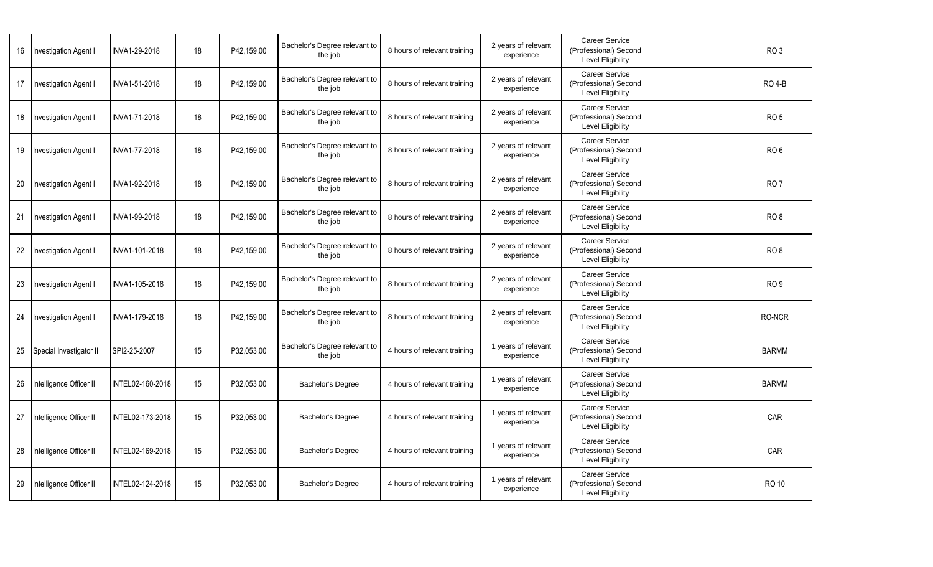| 16 | <b>Investigation Agent I</b> | INVA1-29-2018    | 18 | P42,159.00 | Bachelor's Degree relevant to<br>the job | 8 hours of relevant training | 2 years of relevant<br>experience | <b>Career Service</b><br>(Professional) Second<br>Level Eligibility        | RO <sub>3</sub> |
|----|------------------------------|------------------|----|------------|------------------------------------------|------------------------------|-----------------------------------|----------------------------------------------------------------------------|-----------------|
| 17 | <b>Investigation Agent I</b> | INVA1-51-2018    | 18 | P42,159.00 | Bachelor's Degree relevant to<br>the job | 8 hours of relevant training | 2 years of relevant<br>experience | <b>Career Service</b><br>(Professional) Second<br><b>Level Eligibility</b> | <b>RO 4-B</b>   |
| 18 | <b>Investigation Agent I</b> | INVA1-71-2018    | 18 | P42,159.00 | Bachelor's Degree relevant to<br>the job | 8 hours of relevant training | 2 years of relevant<br>experience | <b>Career Service</b><br>(Professional) Second<br>Level Eligibility        | <b>RO 5</b>     |
| 19 | Investigation Agent I        | INVA1-77-2018    | 18 | P42,159.00 | Bachelor's Degree relevant to<br>the job | 8 hours of relevant training | 2 years of relevant<br>experience | Career Service<br>(Professional) Second<br>Level Eligibility               | RO <sub>6</sub> |
| 20 | Investigation Agent I        | INVA1-92-2018    | 18 | P42,159.00 | Bachelor's Degree relevant to<br>the job | 8 hours of relevant training | 2 years of relevant<br>experience | <b>Career Service</b><br>(Professional) Second<br>Level Eligibility        | RO <sub>7</sub> |
| 21 | Investigation Agent I        | INVA1-99-2018    | 18 | P42,159.00 | Bachelor's Degree relevant to<br>the job | 8 hours of relevant training | 2 years of relevant<br>experience | <b>Career Service</b><br>(Professional) Second<br>Level Eligibility        | RO <sub>8</sub> |
| 22 | <b>Investigation Agent I</b> | INVA1-101-2018   | 18 | P42,159.00 | Bachelor's Degree relevant to<br>the job | 8 hours of relevant training | 2 years of relevant<br>experience | <b>Career Service</b><br>(Professional) Second<br><b>Level Eligibility</b> | RO <sub>8</sub> |
| 23 | Investigation Agent I        | INVA1-105-2018   | 18 | P42,159.00 | Bachelor's Degree relevant to<br>the job | 8 hours of relevant training | 2 years of relevant<br>experience | Career Service<br>(Professional) Second<br><b>Level Eligibility</b>        | RO <sub>9</sub> |
| 24 | <b>Investigation Agent I</b> | INVA1-179-2018   | 18 | P42.159.00 | Bachelor's Degree relevant to<br>the job | 8 hours of relevant training | 2 years of relevant<br>experience | <b>Career Service</b><br>(Professional) Second<br>Level Eligibility        | RO-NCR          |
| 25 | Special Investigator II      | SPI2-25-2007     | 15 | P32.053.00 | Bachelor's Degree relevant to<br>the job | 4 hours of relevant training | 1 years of relevant<br>experience | <b>Career Service</b><br>(Professional) Second<br>Level Eligibility        | <b>BARMM</b>    |
| 26 | Intelligence Officer II      | INTEL02-160-2018 | 15 | P32,053.00 | <b>Bachelor's Degree</b>                 | 4 hours of relevant training | 1 years of relevant<br>experience | <b>Career Service</b><br>(Professional) Second<br>Level Eligibility        | <b>BARMM</b>    |
| 27 | Intelligence Officer II      | INTEL02-173-2018 | 15 | P32,053.00 | Bachelor's Degree                        | 4 hours of relevant training | 1 years of relevant<br>experience | <b>Career Service</b><br>(Professional) Second<br>Level Eligibility        | <b>CAR</b>      |
| 28 | Intelligence Officer II      | INTEL02-169-2018 | 15 | P32,053.00 | Bachelor's Degree                        | 4 hours of relevant training | 1 years of relevant<br>experience | <b>Career Service</b><br>(Professional) Second<br><b>Level Eligibility</b> | CAR             |
| 29 | Intelligence Officer II      | INTEL02-124-2018 | 15 | P32,053.00 | Bachelor's Degree                        | 4 hours of relevant training | 1 years of relevant<br>experience | Career Service<br>(Professional) Second<br>Level Eligibility               | <b>RO 10</b>    |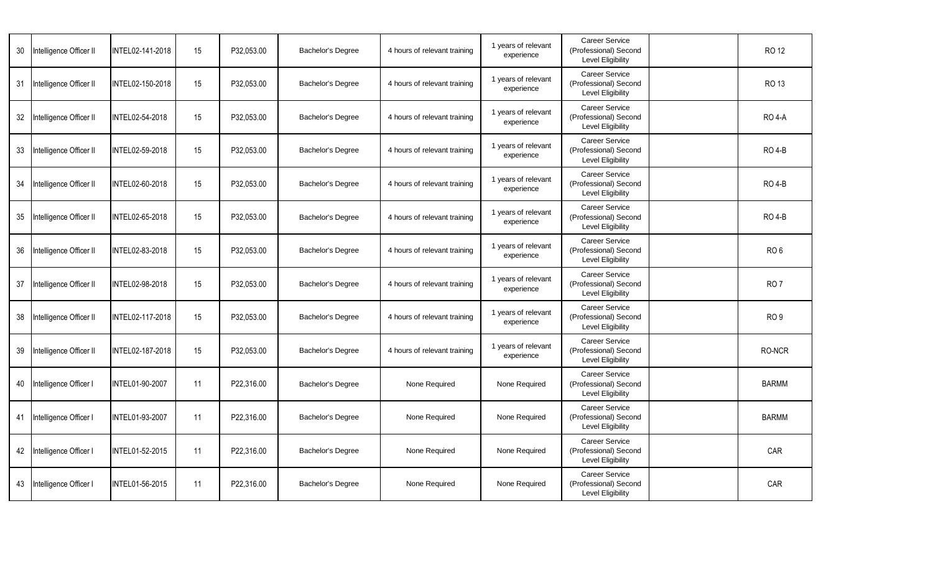| 30 | Intelligence Officer II | INTEL02-141-2018       | 15 | P32,053.00 | Bachelor's Degree        | 4 hours of relevant training | 1 years of relevant<br>experience | <b>Career Service</b><br>(Professional) Second<br><b>Level Eligibility</b> | <b>RO12</b>     |
|----|-------------------------|------------------------|----|------------|--------------------------|------------------------------|-----------------------------------|----------------------------------------------------------------------------|-----------------|
| 31 | Intelligence Officer II | INTEL02-150-2018       | 15 | P32,053.00 | Bachelor's Degree        | 4 hours of relevant training | 1 years of relevant<br>experience | Career Service<br>(Professional) Second<br>Level Eligibility               | <b>RO 13</b>    |
| 32 | Intelligence Officer II | INTEL02-54-2018        | 15 | P32,053.00 | Bachelor's Degree        | 4 hours of relevant training | 1 years of relevant<br>experience | <b>Career Service</b><br>(Professional) Second<br>Level Eligibility        | <b>RO 4-A</b>   |
| 33 | Intelligence Officer II | INTEL02-59-2018        | 15 | P32.053.00 | <b>Bachelor's Degree</b> | 4 hours of relevant training | 1 years of relevant<br>experience | <b>Career Service</b><br>(Professional) Second<br><b>Level Eligibility</b> | <b>RO 4-B</b>   |
| 34 | Intelligence Officer II | INTEL02-60-2018        | 15 | P32,053.00 | Bachelor's Degree        | 4 hours of relevant training | 1 years of relevant<br>experience | <b>Career Service</b><br>(Professional) Second<br>Level Eligibility        | <b>RO 4-B</b>   |
| 35 | Intelligence Officer II | INTEL02-65-2018        | 15 | P32,053.00 | Bachelor's Degree        | 4 hours of relevant training | 1 years of relevant<br>experience | <b>Career Service</b><br>(Professional) Second<br>Level Eligibility        | RO 4-B          |
| 36 | Intelligence Officer II | INTEL02-83-2018        | 15 | P32.053.00 | <b>Bachelor's Degree</b> | 4 hours of relevant training | 1 years of relevant<br>experience | <b>Career Service</b><br>(Professional) Second<br>Level Eligibility        | RO <sub>6</sub> |
| 37 | Intelligence Officer II | INTEL02-98-2018        | 15 | P32,053.00 | Bachelor's Degree        | 4 hours of relevant training | 1 years of relevant<br>experience | Career Service<br>(Professional) Second<br><b>Level Eligibility</b>        | RO <sub>7</sub> |
| 38 | Intelligence Officer II | INTEL02-117-2018       | 15 | P32,053.00 | Bachelor's Degree        | 4 hours of relevant training | 1 years of relevant<br>experience | <b>Career Service</b><br>(Professional) Second<br>Level Eligibility        | RO <sub>9</sub> |
| 39 | Intelligence Officer II | INTEL02-187-2018       | 15 | P32,053.00 | Bachelor's Degree        | 4 hours of relevant training | 1 years of relevant<br>experience | Career Service<br>(Professional) Second<br>Level Eligibility               | RO-NCR          |
| 40 | Intelligence Officer I  | INTEL01-90-2007        | 11 | P22,316.00 | Bachelor's Degree        | None Required                | None Required                     | <b>Career Service</b><br>(Professional) Second<br><b>Level Eligibility</b> | <b>BARMM</b>    |
| 41 | Intelligence Officer I  | INTEL01-93-2007        | 11 | P22.316.00 | Bachelor's Degree        | None Required                | None Required                     | <b>Career Service</b><br>(Professional) Second<br>Level Eligibility        | <b>BARMM</b>    |
| 42 | Intelligence Officer I  | <b>INTEL01-52-2015</b> | 11 | P22,316.00 | Bachelor's Degree        | None Required                | None Required                     | <b>Career Service</b><br>(Professional) Second<br>Level Eligibility        | CAR             |
| 43 | Intelligence Officer I  | INTEL01-56-2015        | 11 | P22,316.00 | Bachelor's Degree        | None Required                | None Required                     | Career Service<br>(Professional) Second<br>Level Eligibility               | CAR             |